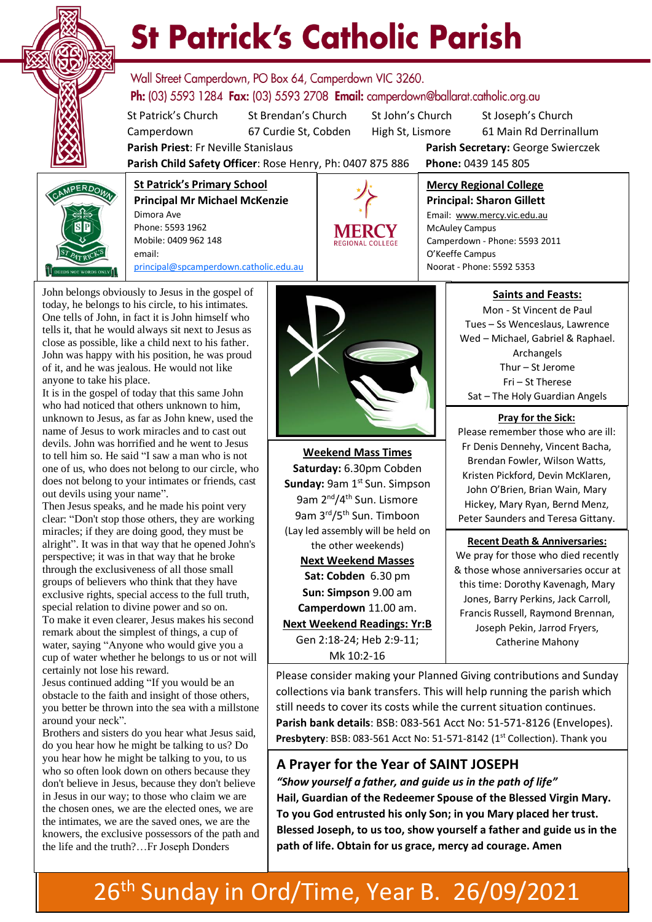

# **St Patrick's Catholic Parish**

Wall Street Camperdown, PO Box 64, Camperdown VIC 3260. **Ph:** (03) 5593 1284 **Fax:** (03) 5593 2708 **Email:** camperdown@ballarat.catholic.org.au

**Parish Child Safety Officer**: Rose Henry, Ph: 0407 875 886 **Phone:** 0439 145 805

St Patrick's Church St Brendan's Church St John's Church St Joseph's Church Camperdown 67 Curdie St, Cobden High St, Lismore 61 Main Rd Derrinallum **Parish Priest**: Fr Neville Stanislaus **Parish Secretary:** George Swierczek

**St Patrick's Primary School Principal Mr Michael McKenzie**  Dimora Ave Phone: 5593 1962 Mobile: 0409 962 148 email: [principal@spcamperdown.catholic.edu.au](mailto:principal@spcamperdown.catholic.edu.auu)



**Mercy Regional College Principal: Sharon Gillett** Email: www.mercy.vic.edu.au

McAuley Campus Camperdown - Phone: 5593 2011 O'Keeffe Campus Noorat - Phone: 5592 5353

John belongs obviously to Jesus in the gospel of today, he belongs to his circle, to his intimates. One tells of John, in fact it is John himself who tells it, that he would always sit next to Jesus as close as possible, like a child next to his father. John was happy with his position, he was proud of it, and he was jealous. He would not like anyone to take his place.

It is in the gospel of today that this same John who had noticed that others unknown to him, unknown to Jesus, as far as John knew, used the name of Jesus to work miracles and to cast out devils. John was horrified and he went to Jesus to tell him so. He said "I saw a man who is not one of us, who does not belong to our circle, who does not belong to your intimates or friends, cast out devils using your name".

groups of believers who think that they have . water, saying "Anyone who would give you a Then Jesus speaks, and he made his point very clear: "Don't stop those others, they are working miracles; if they are doing good, they must be alright". It was in that way that he opened John's perspective; it was in that way that he broke through the exclusiveness of all those small exclusive rights, special access to the full truth, special relation to divine power and so on. To make it even clearer, Jesus makes his second remark about the simplest of things, a cup of cup of water whether he belongs to us or not will certainly not lose his reward.

Jesus continued adding "If you would be an obstacle to the faith and insight of those others, you better be thrown into the sea with a millstone around your neck".

Brothers and sisters do you hear what Jesus said, do you hear how he might be talking to us? Do you hear how he might be talking to you, to us who so often look down on others because they don't believe in Jesus, because they don't believe in Jesus in our way; to those who claim we are the chosen ones, we are the elected ones, we are the intimates, we are the saved ones, we are the knowers, the exclusive possessors of the path and the life and the truth?…Fr Joseph Donders



**Weekend Mass Times Saturday:** 6.30pm Cobden **Sunday: 9am 1st Sun. Simpson** 9am 2nd/4th Sun. Lismore 9am 3<sup>rd</sup>/5<sup>th</sup> Sun. Timboon (Lay led assembly will be held on the other weekends) **Next Weekend Masses Sat: Cobden** 6.30 pm **Sun: Simpson** 9.00 am **Camperdown** 11.00 am. **Next Weekend Readings: Yr:B** Gen 2:18-24; Heb 2:9-11; Mk 10:2-16

#### **Saints and Feasts:**

Mon - St Vincent de Paul Tues – Ss Wenceslaus, Lawrence Wed – Michael, Gabriel & Raphael. Archangels Thur – St Jerome Fri – St Therese Sat – The Holy Guardian Angels

#### **Pray for the Sick:**

Please remember those who are ill: Fr Denis Dennehy, Vincent Bacha, Brendan Fowler, Wilson Watts, Kristen Pickford, Devin McKlaren, John O'Brien, Brian Wain, Mary Hickey, Mary Ryan, Bernd Menz, Peter Saunders and Teresa Gittany.

 **Recent Death & Anniversaries:**  We pray for those who died recently & those whose anniversaries occur at this time: Dorothy Kavenagh, Mary Jones, Barry Perkins, Jack Carroll, Francis Russell, Raymond Brennan, Joseph Pekin, Jarrod Fryers, Catherine Mahony

Please consider making your Planned Giving contributions and Sunday collections via bank transfers. This will help running the parish which still needs to cover its costs while the current situation continues. **Parish bank details**: BSB: 083-561 Acct No: 51-571-8126 (Envelopes). Presbytery: BSB: 083-561 Acct No: 51-571-8142 (1<sup>st</sup> Collection). Thank you

#### **A Prayer for the Year of SAINT JOSEPH**

*"Show yourself a father, and guide us in the path of life"* **Hail, Guardian of the Redeemer Spouse of the Blessed Virgin Mary. To you God entrusted his only Son; in you Mary placed her trust. Blessed Joseph, to us too, show yourself a father and guide us in the path of life. Obtain for us grace, mercy ad courage. Amen**

### 26<sup>th</sup> Sunday in Ord/Time, Year B. 26/09/2021 7.30 pm Camperdown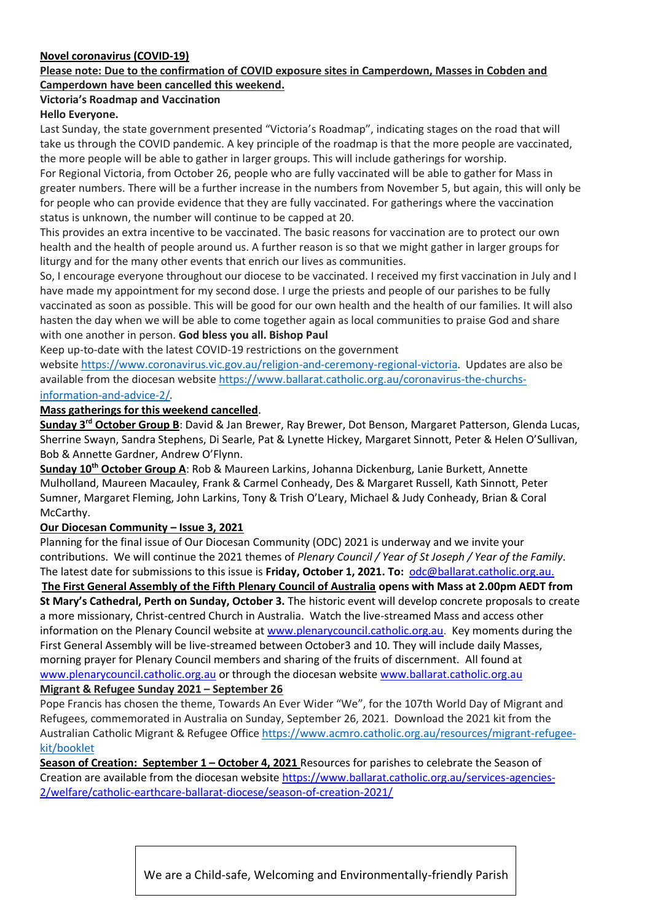#### **Novel coronavirus (COVID-19)**

#### **Please note: Due to the confirmation of COVID exposure sites in Camperdown, Masses in Cobden and Camperdown have been cancelled this weekend.**

#### **Victoria's Roadmap and Vaccination**

#### **Hello Everyone.**

Last Sunday, the state government presented "Victoria's Roadmap", indicating stages on the road that will take us through the COVID pandemic. A key principle of the roadmap is that the more people are vaccinated, the more people will be able to gather in larger groups. This will include gatherings for worship.

For Regional Victoria, from October 26, people who are fully vaccinated will be able to gather for Mass in greater numbers. There will be a further increase in the numbers from November 5, but again, this will only be for people who can provide evidence that they are fully vaccinated. For gatherings where the vaccination status is unknown, the number will continue to be capped at 20.

This provides an extra incentive to be vaccinated. The basic reasons for vaccination are to protect our own health and the health of people around us. A further reason is so that we might gather in larger groups for liturgy and for the many other events that enrich our lives as communities.

So, I encourage everyone throughout our diocese to be vaccinated. I received my first vaccination in July and I have made my appointment for my second dose. I urge the priests and people of our parishes to be fully vaccinated as soon as possible. This will be good for our own health and the health of our families. It will also hasten the day when we will be able to come together again as local communities to praise God and share with one another in person. **God bless you all. Bishop Paul**

Keep up-to-date with the latest COVID-19 restrictions on the government

website [https://www.coronavirus.vic.gov.au/religion-and-ceremony-regional-victoria.](https://www.coronavirus.vic.gov.au/religion-and-ceremony-regional-victoria) Updates are also be available from the diocesan website [https://www.ballarat.catholic.org.au/coronavirus-the-churchs](https://www.ballarat.catholic.org.au/coronavirus-the-churchs-information-and-advice-2/)[information-and-advice-2/](https://www.ballarat.catholic.org.au/coronavirus-the-churchs-information-and-advice-2/).

#### **Mass gatherings for this weekend cancelled**.

**Sunday 3rd October Group B**: David & Jan Brewer, Ray Brewer, Dot Benson, Margaret Patterson, Glenda Lucas, Sherrine Swayn, Sandra Stephens, Di Searle, Pat & Lynette Hickey, Margaret Sinnott, Peter & Helen O'Sullivan, Bob & Annette Gardner, Andrew O'Flynn.

**Sunday 10th October Group A**: Rob & Maureen Larkins, Johanna Dickenburg, Lanie Burkett, Annette Mulholland, Maureen Macauley, Frank & Carmel Conheady, Des & Margaret Russell, Kath Sinnott, Peter Sumner, Margaret Fleming, John Larkins, Tony & Trish O'Leary, Michael & Judy Conheady, Brian & Coral McCarthy.

#### **Our Diocesan Community – Issue 3, 2021**

Planning for the final issue of Our Diocesan Community (ODC) 2021 is underway and we invite your contributions. We will continue the 2021 themes of *Plenary Council / Year of St Joseph / Year of the Family.* The latest date for submissions to this issue is **Friday, October 1, 2021. To:** [odc@ballarat.catholic.org.au.](mailto:odc@ballarat.catholic.org.au) **The First General Assembly of the Fifth Plenary Council of Australia opens with Mass at 2.00pm AEDT from St Mary's Cathedral, Perth on Sunday, October 3.** The historic event will develop concrete proposals to create a more missionary, Christ-centred Church in Australia. Watch the live-streamed Mass and access other information on the Plenary Council website at [www.plenarycouncil.catholic.org.au.](http://www.plenarycouncil.catholic.org.au/) Key moments during the First General Assembly will be live-streamed between October3 and 10. They will include daily Masses, morning prayer for Plenary Council members and sharing of the fruits of discernment. All found at [www.plenarycouncil.catholic.org.au](http://www.plenarycouncil.catholic.org.au/) or through the diocesan website [www.ballarat.catholic.org.au](http://www.ballarat.catholic.org.au/) **Migrant & Refugee Sunday 2021 – September 26**

Pope Francis has chosen the theme, Towards An Ever Wider "We", for the 107th World Day of Migrant and Refugees, commemorated in Australia on Sunday, September 26, 2021. Download the 2021 kit from the Australian Catholic Migrant & Refugee Office [https://www.acmro.catholic.org.au/resources/migrant-refugee](https://www.acmro.catholic.org.au/resources/migrant-refugee-kit/booklet)[kit/booklet](https://www.acmro.catholic.org.au/resources/migrant-refugee-kit/booklet)

**Season of Creation: September 1 – October 4, 2021** Resources for parishes to celebrate the Season of Creation are available from the diocesan website [https://www.ballarat.catholic.org.au/services-agencies-](https://www.ballarat.catholic.org.au/services-agencies-2/welfare/catholic-earthcare-ballarat-diocese/season-of-creation-2021/)[2/welfare/catholic-earthcare-ballarat-diocese/season-of-creation-2021/](https://www.ballarat.catholic.org.au/services-agencies-2/welfare/catholic-earthcare-ballarat-diocese/season-of-creation-2021/)

We are a Child-safe, Welcoming and Environmentally-friendly Parish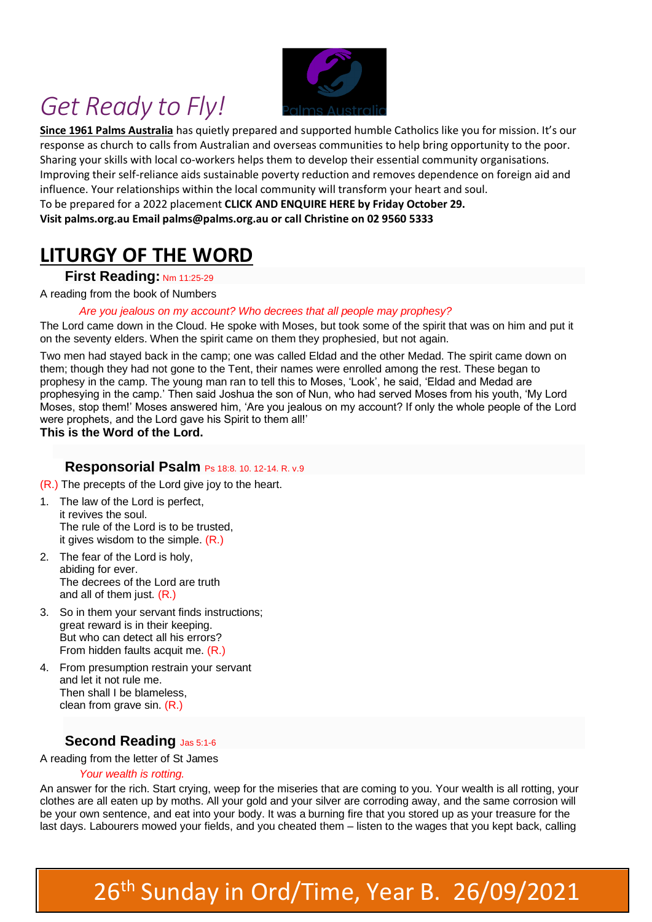## *Get Ready to Fly!*



**Since 1961 Palms Australia** has quietly prepared and supported humble Catholics like you for mission. It's our response as church to calls from Australian and overseas communities to help bring opportunity to the poor. Sharing your skills with local co-workers helps them to develop their essential community organisations. Improving their self-reliance aids sustainable poverty reduction and removes dependence on foreign aid and influence. Your relationships within the local community will transform your heart and soul. To be prepared for a 2022 placement **CLICK AND ENQUIRE HERE by Friday October 29. Visit palms.org.au Email palms@palms.org.au or call Christine on 02 9560 5333**

### **LITURGY OF THE WORD**

#### **First Reading: Nm 11:25-29**

A reading from the book of Numbers

#### *Are you jealous on my account? Who decrees that all people may prophesy?*

The Lord came down in the Cloud. He spoke with Moses, but took some of the spirit that was on him and put it on the seventy elders. When the spirit came on them they prophesied, but not again.

Two men had stayed back in the camp; one was called Eldad and the other Medad. The spirit came down on them; though they had not gone to the Tent, their names were enrolled among the rest. These began to prophesy in the camp. The young man ran to tell this to Moses, 'Look', he said, 'Eldad and Medad are prophesying in the camp.' Then said Joshua the son of Nun, who had served Moses from his youth, 'My Lord Moses, stop them!' Moses answered him, 'Are you jealous on my account? If only the whole people of the Lord were prophets, and the Lord gave his Spirit to them all!'

**This is the Word of the Lord.**

#### **Responsorial Psalm** Ps 18:8. 10. 12-14. R. v.9

- (R.) The precepts of the Lord give joy to the heart.
- 1. The law of the Lord is perfect, it revives the soul. The rule of the Lord is to be trusted, it gives wisdom to the simple.  $(R<sub>.</sub>)$
- 2. The fear of the Lord is holy, abiding for ever. The decrees of the Lord are truth and all of them just. (R.)
- 3. So in them your servant finds instructions; great reward is in their keeping. But who can detect all his errors? From hidden faults acquit me. (R.)
- 4. From presumption restrain your servant and let it not rule me. Then shall I be blameless, clean from grave sin. (R.)

#### **Second Reading** Jas 5:1-6

A reading from the letter of St James

#### *Your wealth is rotting.*

An answer for the rich. Start crying, weep for the miseries that are coming to you. Your wealth is all rotting, your clothes are all eaten up by moths. All your gold and your silver are corroding away, and the same corrosion will be your own sentence, and eat into your body. It was a burning fire that you stored up as your treasure for the last days. Labourers mowed your fields, and you cheated them – listen to the wages that you kept back, calling

# 26<sup>th</sup> Sunday in Ord/Time, Year B. 26/09/2021